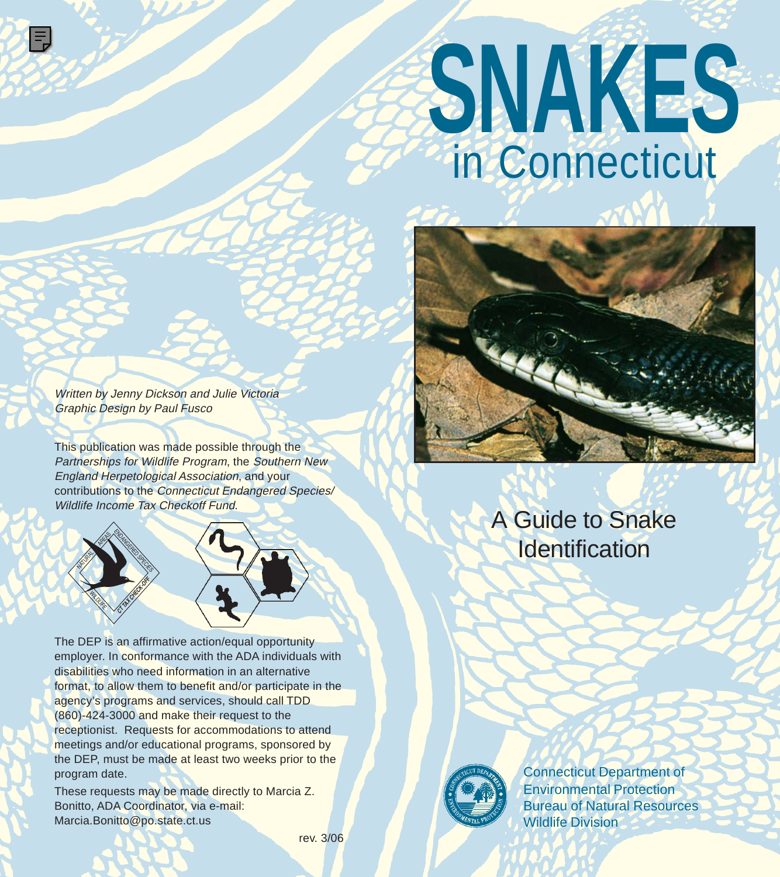# **SNAKES** in Connecticut



Written by Jenny Dickson and Julie Victoria Graphic Design by Paul Fusco

> 4 r<br>S N **- September 1997** Macao BREACH

۱Ŧ,

*--***AX** CHECK OF 《

MILOVE

 $\mathscr{L}$  $\begin{smallmatrix} \times \ \times \ \times \ \times \ \end{smallmatrix}$ S

This publication was made possible through the Partnerships for Wildlife Program, the Southern New England Herpetological Association, and your contributions to the Connecticut Endangered Species/ Wildlife Income Tax Checkoff Fund.



These requests may be made directly to Marcia Z. Bonitto, ADA Coordinator, via e-mail: Marcia.Bonitto@po.state.ct.us

### A Guide to Snake **Identification**



Connecticut Department of Environmental Protection Bureau of Natural Resources Wildlife Division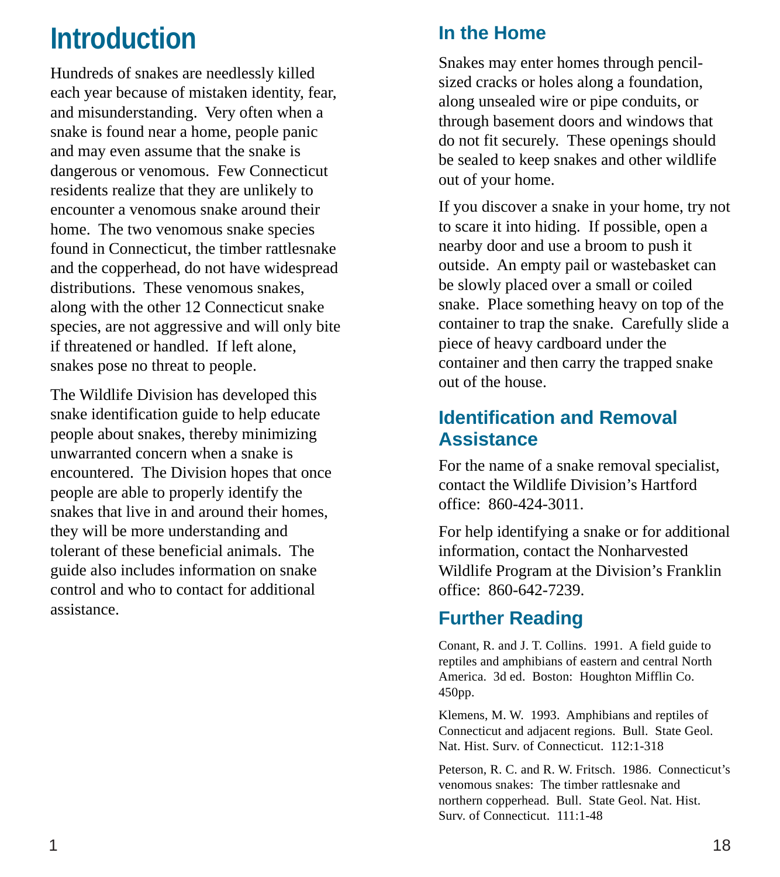## **Introduction**

Hundreds of snakes are needlessly killed each year because of mistaken identity, fear, and misunderstanding. Very often when a snake is found near a home, people panic and may even assume that the snake is dangerous or venomous. Few Connecticut residents realize that they are unlikely to encounter a venomous snake around their home. The two venomous snake species found in Connecticut, the timber rattlesnake and the copperhead, do not have widespread distributions. These venomous snakes, along with the other 12 Connecticut snake species, are not aggressive and will only bite if threatened or handled. If left alone, snakes pose no threat to people.

The Wildlife Division has developed this snake identification guide to help educate people about snakes, thereby minimizing unwarranted concern when a snake is encountered. The Division hopes that once people are able to properly identify the snakes that live in and around their homes, they will be more understanding and tolerant of these beneficial animals. The guide also includes information on snake control and who to contact for additional assistance.

### **In the Home**

Snakes may enter homes through pencilsized cracks or holes along a foundation, along unsealed wire or pipe conduits, or through basement doors and windows that do not fit securely. These openings should be sealed to keep snakes and other wildlife out of your home.

If you discover a snake in your home, try not to scare it into hiding. If possible, open a nearby door and use a broom to push it outside. An empty pail or wastebasket can be slowly placed over a small or coiled snake. Place something heavy on top of the container to trap the snake. Carefully slide a piece of heavy cardboard under the container and then carry the trapped snake out of the house.

#### **Identification and Removal Assistance**

For the name of a snake removal specialist, contact the Wildlife Division's Hartford office: 860-424-3011.

For help identifying a snake or for additional information, contact the Nonharvested Wildlife Program at the Division's Franklin office: 860-642-7239.

### **Further Reading**

Conant, R. and J. T. Collins. 1991. A field guide to reptiles and amphibians of eastern and central North America. 3d ed. Boston: Houghton Mifflin Co. 450pp.

Klemens, M. W. 1993. Amphibians and reptiles of Connecticut and adjacent regions. Bull. State Geol. Nat. Hist. Surv. of Connecticut. 112:1-318

Peterson, R. C. and R. W. Fritsch. 1986. Connecticut's venomous snakes: The timber rattlesnake and northern copperhead. Bull. State Geol. Nat. Hist. Surv. of Connecticut. 111:1-48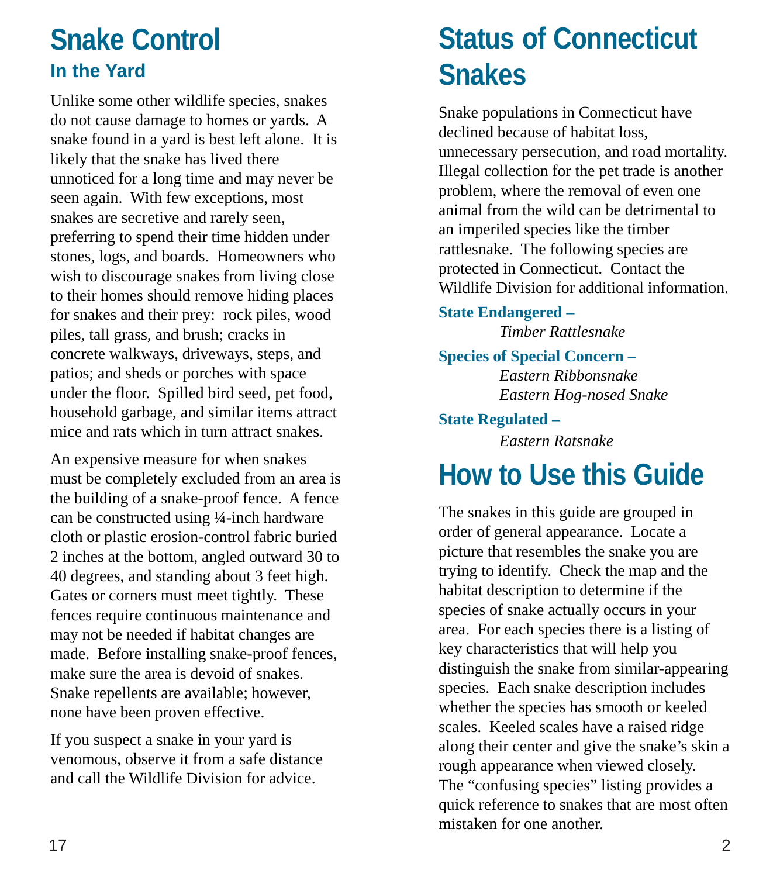### **Snake Control In the Yard**

Unlike some other wildlife species, snakes do not cause damage to homes or yards. A snake found in a yard is best left alone. It is likely that the snake has lived there unnoticed for a long time and may never be seen again. With few exceptions, most snakes are secretive and rarely seen, preferring to spend their time hidden under stones, logs, and boards. Homeowners who wish to discourage snakes from living close to their homes should remove hiding places for snakes and their prey: rock piles, wood piles, tall grass, and brush; cracks in concrete walkways, driveways, steps, and patios; and sheds or porches with space under the floor. Spilled bird seed, pet food, household garbage, and similar items attract mice and rats which in turn attract snakes.

An expensive measure for when snakes must be completely excluded from an area is the building of a snake-proof fence. A fence can be constructed using ¼-inch hardware cloth or plastic erosion-control fabric buried 2 inches at the bottom, angled outward 30 to 40 degrees, and standing about 3 feet high. Gates or corners must meet tightly. These fences require continuous maintenance and may not be needed if habitat changes are made. Before installing snake-proof fences, make sure the area is devoid of snakes. Snake repellents are available; however, none have been proven effective.

If you suspect a snake in your yard is venomous, observe it from a safe distance and call the Wildlife Division for advice.

# **Status of Connecticut Snakes**

Snake populations in Connecticut have declined because of habitat loss, unnecessary persecution, and road mortality. Illegal collection for the pet trade is another problem, where the removal of even one animal from the wild can be detrimental to an imperiled species like the timber rattlesnake. The following species are protected in Connecticut. Contact the Wildlife Division for additional information.

**State Endangered –** *Timber Rattlesnake*

**Species of Special Concern –**

*Eastern Ribbonsnake Eastern Hog-nosed Snake*

**State Regulated –**

*Eastern Ratsnake*

## **How to Use this Guide**

The snakes in this guide are grouped in order of general appearance. Locate a picture that resembles the snake you are trying to identify. Check the map and the habitat description to determine if the species of snake actually occurs in your area. For each species there is a listing of key characteristics that will help you distinguish the snake from similar-appearing species. Each snake description includes whether the species has smooth or keeled scales. Keeled scales have a raised ridge along their center and give the snake's skin a rough appearance when viewed closely. The "confusing species" listing provides a quick reference to snakes that are most often mistaken for one another.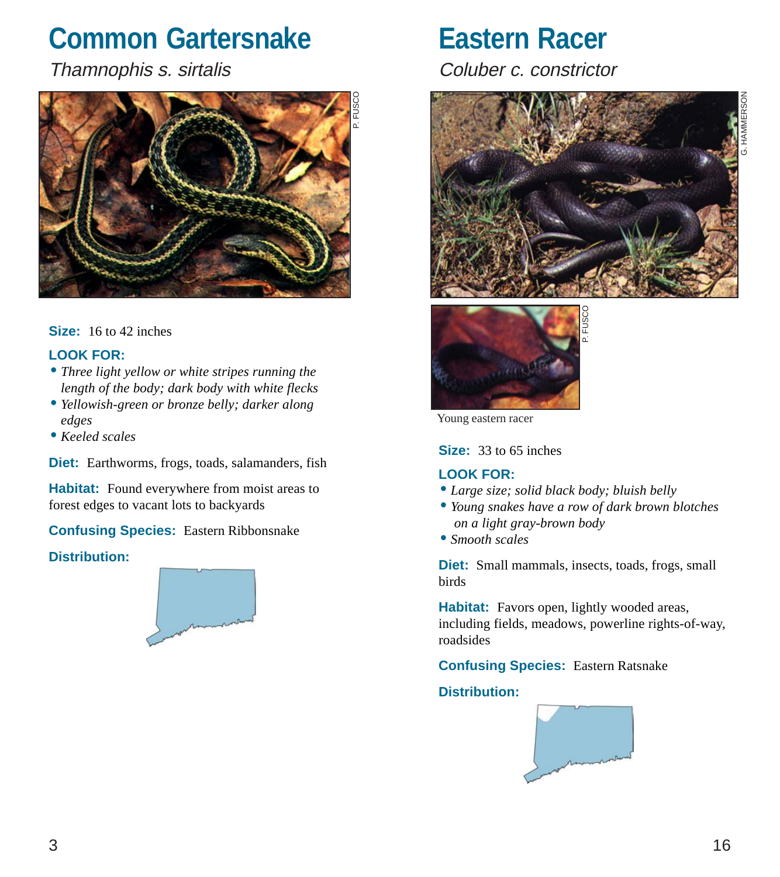### **Common Gartersnake**

Thamnophis s. sirtalis



#### **Size:** 16 to 42 inches

#### **LOOK FOR:**

- •*Three light yellow or white stripes running the length of the body; dark body with white flecks*
- •*Yellowish-green or bronze belly; darker along edges*
- *Keeled scales*

**Diet:** Earthworms, frogs, toads, salamanders, fish

**Habitat:** Found everywhere from moist areas to forest edges to vacant lots to backyards

**Confusing Species:** Eastern Ribbonsnake

#### **Distribution:**



### **Eastern Racer**

Coluber c. constrictor





Young eastern racer

**Size:** 33 to 65 inches

#### **LOOK FOR:**

- •*Large size; solid black body; bluish belly*
- •*Young snakes have a row of dark brown blotches on a light gray-brown body*
- •*Smooth scales*

**Diet:** Small mammals, insects, toads, frogs, small birds

**Habitat:** Favors open, lightly wooded areas, including fields, meadows, powerline rights-of-way, roadsides

**Confusing Species:** Eastern Ratsnake **Distribution:**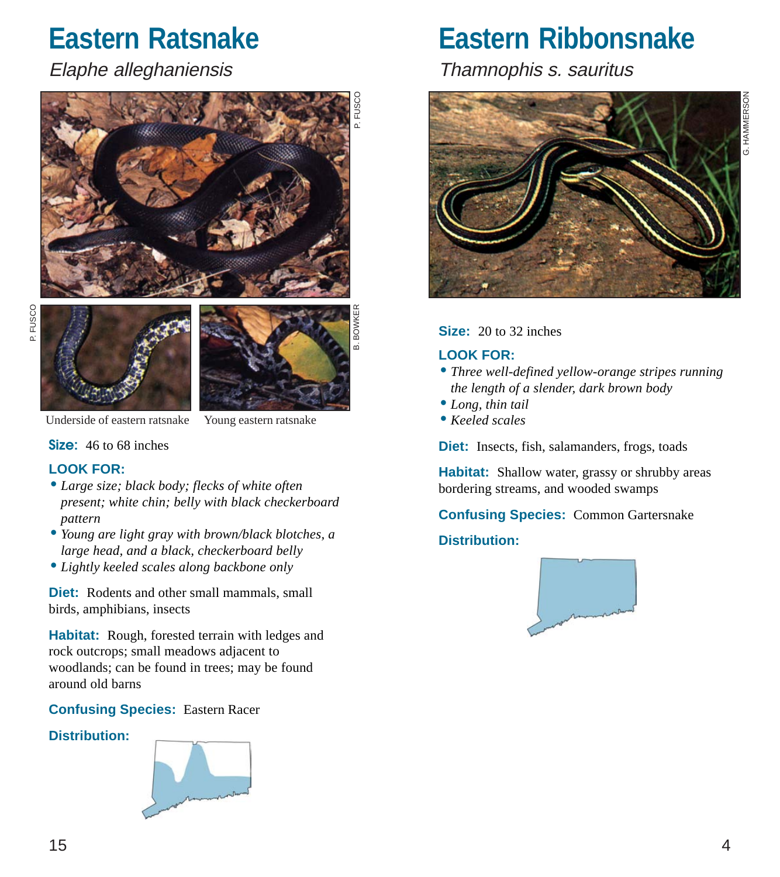### **Eastern Ratsnake**

#### Elaphe alleghaniensis







B. BOWKER

Underside of eastern ratsnake Young eastern ratsnake

**Size:** 46 to 68 inches

#### **LOOK FOR:**

- •*Large size; black body; flecks of white often present; white chin; belly with black checkerboard pattern*
- •*Young are light gray with brown/black blotches, a large head, and a black, checkerboard belly*
- •*Lightly keeled scales along backbone only*

**Diet:** Rodents and other small mammals, small birds, amphibians, insects

**Habitat:** Rough, forested terrain with ledges and rock outcrops; small meadows adjacent to woodlands; can be found in trees; may be found around old barns

#### **Confusing Species:** Eastern Racer

#### **Distribution:**



**Eastern Ribbonsnake**

Thamnophis s. sauritus



**Size:** 20 to 32 inches

#### **LOOK FOR:**

- •*Three well-defined yellow-orange stripes running the length of a slender, dark brown body*
- •*Long, thin tail*
- *Keeled scales*

**Diet:** Insects, fish, salamanders, frogs, toads

**Habitat:** Shallow water, grassy or shrubby areas bordering streams, and wooded swamps

**Confusing Species:** Common Gartersnake **Distribution:**

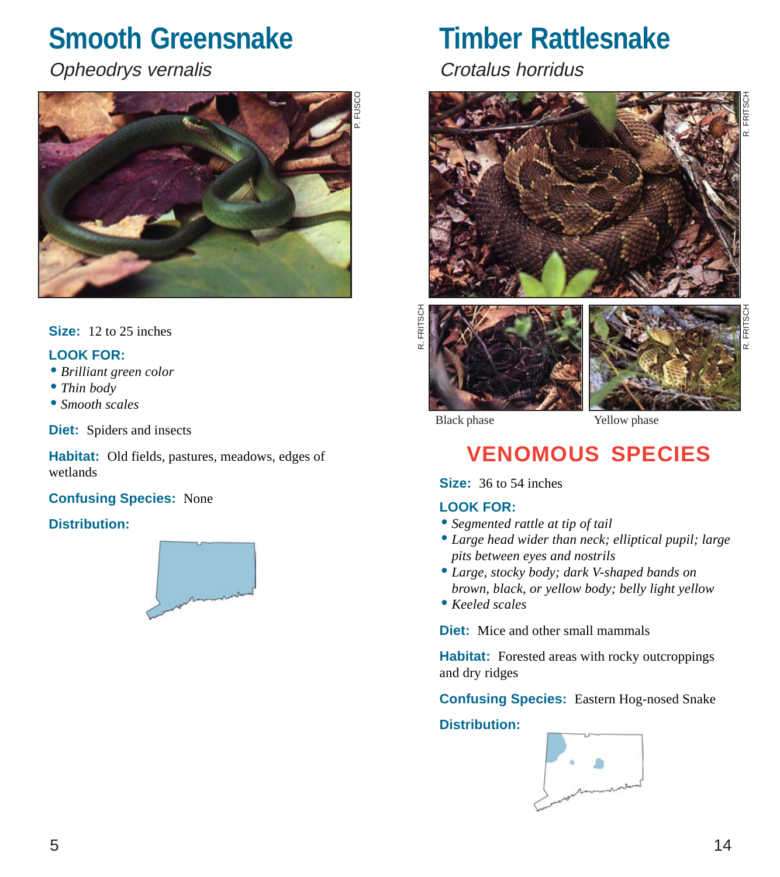### **Smooth Greensnake**

### Opheodrys vernalis



#### **Size:** 12 to 25 inches

#### **LOOK FOR:**

- *Brilliant green color*
- •*Thin body*
- •*Smooth scales*

**Diet:** Spiders and insects

**Habitat:** Old fields, pastures, meadows, edges of wetlands

#### **Confusing Species:** None

#### **Distribution:**



### **Timber Rattlesnake**

Crotalus horridus





Black phase **Yellow** phase

### **VENOMOUS SPECIES**

**Size:** 36 to 54 inches

#### **LOOK FOR:**

- •*Segmented rattle at tip of tail*
- •*Large head wider than neck; elliptical pupil; large pits between eyes and nostrils*
- •*Large, stocky body; dark V-shaped bands on brown, black, or yellow body; belly light yellow*
- *Keeled scales*

**Diet:** Mice and other small mammals

**Habitat:** Forested areas with rocky outcroppings and dry ridges

**Confusing Species:** Eastern Hog-nosed Snake

#### **Distribution:**



R. FRITSCH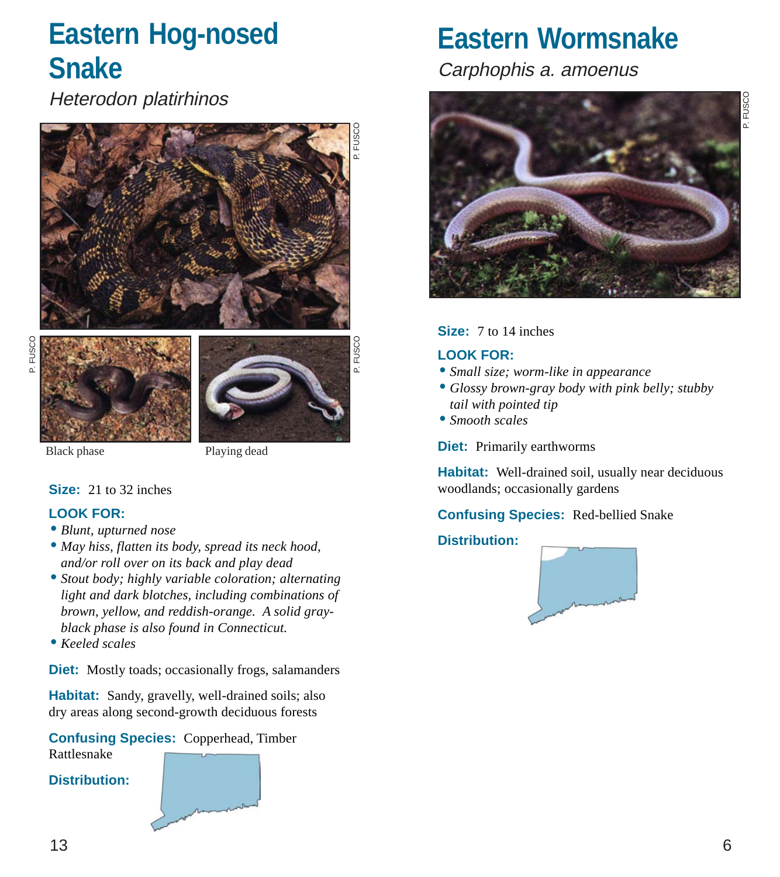### **Eastern Hog-nosed Snake**

Heterodon platirhinos







Black phase Playing dead

#### **Size:** 21 to 32 inches

#### **LOOK FOR:**

- *Blunt, upturned nose*
- *May hiss, flatten its body, spread its neck hood, and/or roll over on its back and play dead*
- •*Stout body; highly variable coloration; alternating light and dark blotches, including combinations of brown, yellow, and reddish-orange. A solid grayblack phase is also found in Connecticut.*
- *Keeled scales*

**Diet:** Mostly toads; occasionally frogs, salamanders

**Habitat:** Sandy, gravelly, well-drained soils; also dry areas along second-growth deciduous forests

#### **Confusing Species:** Copperhead, Timber

Rattlesnake

#### **Distribution:**

### **Eastern Wormsnake**

Carphophis a. amoenus



#### **Size:** 7 to 14 inches

#### **LOOK FOR:**

- •*Small size; worm-like in appearance*
- *Glossy brown-gray body with pink belly; stubby tail with pointed tip*
- •*Smooth scales*

**Diet:** Primarily earthworms

Habitat: Well-drained soil, usually near deciduous woodlands; occasionally gardens

#### **Confusing Species:** Red-bellied Snake

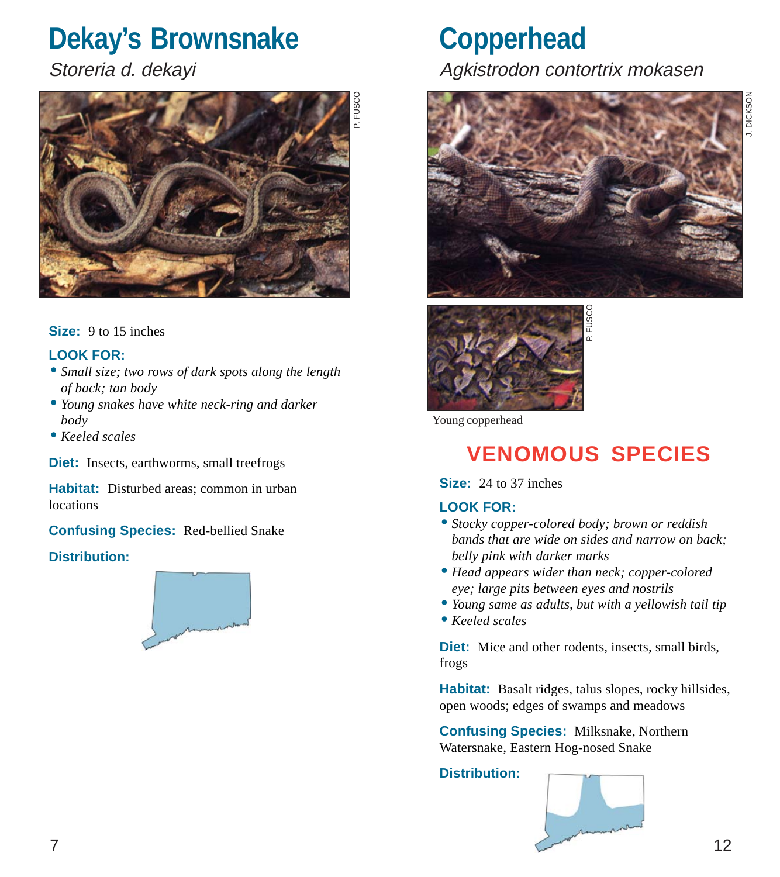### **Dekay's Brownsnake**

Storeria d. dekayi



#### **Size:** 9 to 15 inches

#### **LOOK FOR:**

- •*Small size; two rows of dark spots along the length of back; tan body*
- •*Young snakes have white neck-ring and darker body*
- *Keeled scales*

**Diet:** Insects, earthworms, small treefrogs

**Habitat:** Disturbed areas; common in urban locations

**Confusing Species:** Red-bellied Snake

#### **Distribution:**



### **Copperhead** Agkistrodon contortrix mokasen





Young copperhead

### **VENOMOUS SPECIES**

**Size:** 24 to 37 inches

#### **LOOK FOR:**

- •*Stocky copper-colored body; brown or reddish bands that are wide on sides and narrow on back; belly pink with darker marks*
- *Head appears wider than neck; copper-colored eye; large pits between eyes and nostrils*
- •*Young same as adults, but with a yellowish tail tip*
- *Keeled scales*

**Diet:** Mice and other rodents, insects, small birds, frogs

**Habitat:** Basalt ridges, talus slopes, rocky hillsides, open woods; edges of swamps and meadows

**Confusing Species:** Milksnake, Northern Watersnake, Eastern Hog-nosed Snake

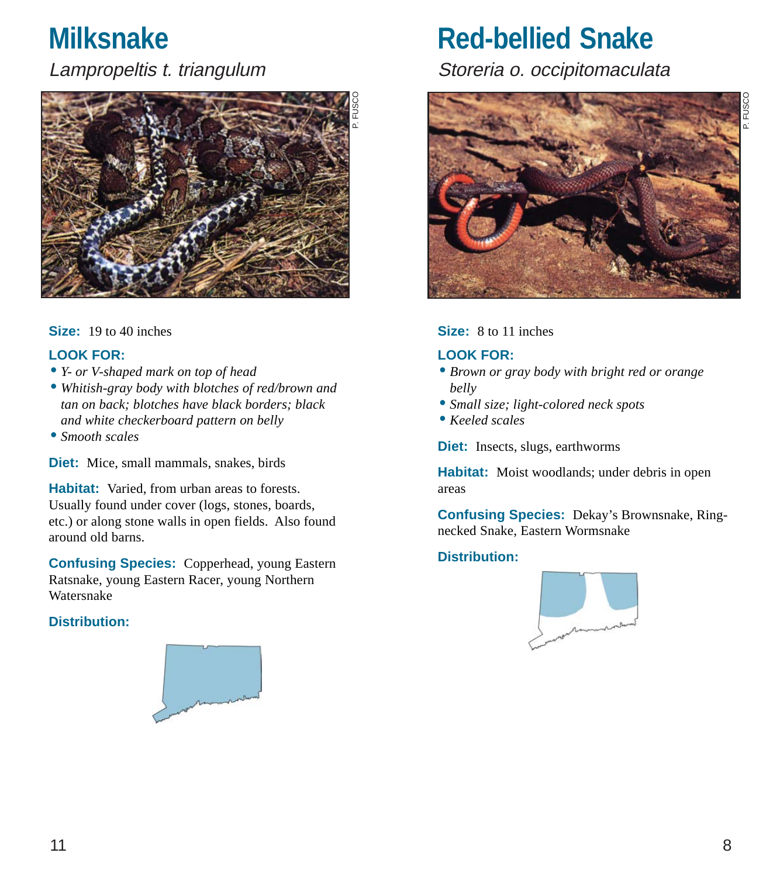### **Milksnake**

Lampropeltis t. triangulum



#### **Size:** 19 to 40 inches

#### **LOOK FOR:**

- •*Y- or V-shaped mark on top of head*
- *Whitish-gray body with blotches of red/brown and tan on back; blotches have black borders; black and white checkerboard pattern on belly*
- •*Smooth scales*

**Diet:** Mice, small mammals, snakes, birds

**Habitat:** Varied, from urban areas to forests. Usually found under cover (logs, stones, boards, etc.) or along stone walls in open fields. Also found around old barns.

**Confusing Species:** Copperhead, young Eastern Ratsnake, young Eastern Racer, young Northern Watersnake

#### **Distribution:**



### **Red-bellied Snake**

Storeria o. occipitomaculata



#### **Size:** 8 to 11 inches

#### **LOOK FOR:**

- *Brown or gray body with bright red or orange belly*
- •*Small size; light-colored neck spots*
- *Keeled scales*

**Diet:** Insects, slugs, earthworms

Habitat: Moist woodlands; under debris in open areas

**Confusing Species:** Dekay's Brownsnake, Ringnecked Snake, Eastern Wormsnake